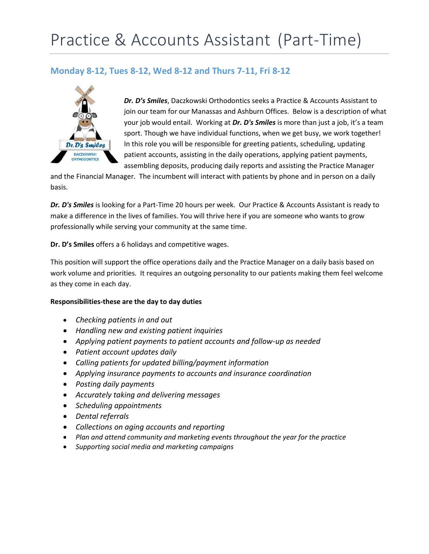## Practice & Accounts Assistant (Part-Time)

## **Monday 8-12, Tues 8-12, Wed 8-12 and Thurs 7-11, Fri 8-12**



*Dr. D's Smiles*, Daczkowski Orthodontics seeks a Practice & Accounts Assistant to join our team for our Manassas and Ashburn Offices. Below is a description of what your job would entail. Working at *Dr. D's Smiles* is more than just a job, it's a team sport. Though we have individual functions, when we get busy, we work together! In this role you will be responsible for greeting patients, scheduling, updating patient accounts, assisting in the daily operations, applying patient payments, assembling deposits, producing daily reports and assisting the Practice Manager

and the Financial Manager. The incumbent will interact with patients by phone and in person on a daily basis.

*Dr. D's Smiles* is looking for a Part-Time 20 hours per week. Our Practice & Accounts Assistant is ready to make a difference in the lives of families. You will thrive here if you are someone who wants to grow professionally while serving your community at the same time.

**Dr. D's Smiles** offers a 6 holidays and competitive wages.

This position will support the office operations daily and the Practice Manager on a daily basis based on work volume and priorities. It requires an outgoing personality to our patients making them feel welcome as they come in each day.

## **Responsibilities-these are the day to day duties**

- *Checking patients in and out*
- *Handling new and existing patient inquiries*
- *Applying patient payments to patient accounts and follow-up as needed*
- *Patient account updates daily*
- *Calling patients for updated billing/payment information*
- *Applying insurance payments to accounts and insurance coordination*
- *Posting daily payments*
- *Accurately taking and delivering messages*
- *Scheduling appointments*
- *Dental referrals*
- *Collections on aging accounts and reporting*
- *Plan and attend community and marketing events throughout the year for the practice*
- *Supporting social media and marketing campaigns*